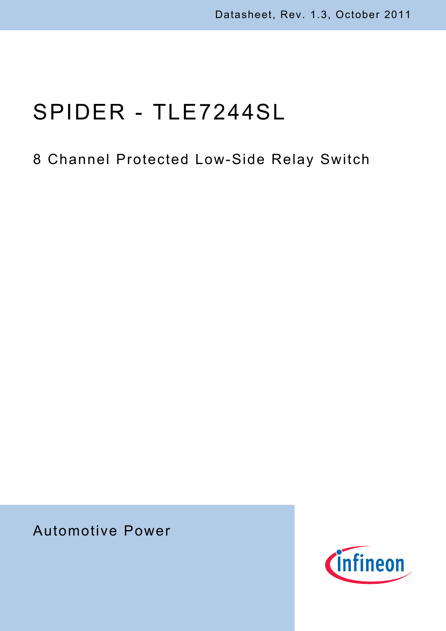# SPIDER - TLE7244SL

## 8 Channel Protected Low-Side Relay Switch

Automotive Power

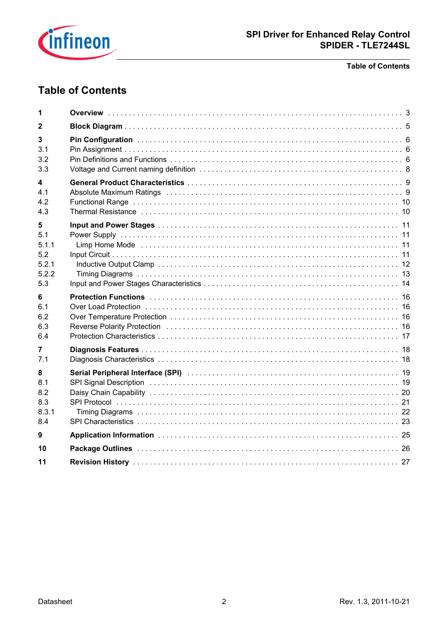

#### **Table of Contents**

## **Table of Contents**

| 1                                                 |                                                                                                                                                                                                                                                                                                                                                                                                                                                                                                                                                                                   |  |
|---------------------------------------------------|-----------------------------------------------------------------------------------------------------------------------------------------------------------------------------------------------------------------------------------------------------------------------------------------------------------------------------------------------------------------------------------------------------------------------------------------------------------------------------------------------------------------------------------------------------------------------------------|--|
| 2                                                 |                                                                                                                                                                                                                                                                                                                                                                                                                                                                                                                                                                                   |  |
| 3<br>3.1<br>3.2<br>3.3                            |                                                                                                                                                                                                                                                                                                                                                                                                                                                                                                                                                                                   |  |
| 4<br>4.1<br>4.2<br>4.3                            | Absolute Maximum Ratings (and according to the control of the control of the state of the state of the state o                                                                                                                                                                                                                                                                                                                                                                                                                                                                    |  |
| 5<br>5.1<br>5.1.1<br>5.2<br>5.2.1<br>5.2.2<br>5.3 | Limp Home Mode (and according to the control of the control of the control of the control of the control of the control of the control of the control of the control of the control of the control of the control of the contr                                                                                                                                                                                                                                                                                                                                                    |  |
| 6<br>6.1<br>6.2<br>6.3<br>6.4                     | Protection Functions (and all and all and all and all and all and all and all and all and all and all and all a<br>Over Load Protection (a) respectively and the control of the control of the control of the control of the control of the control of the control of the control of the control of the control of the control of the control of<br>Reverse Polarity Protection (and according contract of the contract of the contract of the Reverse Polarity Protection (and the contract of the contract of the Reverse Polarity Protection (and the contract of the contract |  |
| 7<br>7.1                                          |                                                                                                                                                                                                                                                                                                                                                                                                                                                                                                                                                                                   |  |
| 8<br>8.1<br>8.2<br>8.3<br>8.3.1<br>8.4            | SPI Signal Description (and according to the control of the control of the control of the control of the control of the control of the control of the control of the control of the control of the control of the control of t                                                                                                                                                                                                                                                                                                                                                    |  |
| 9                                                 |                                                                                                                                                                                                                                                                                                                                                                                                                                                                                                                                                                                   |  |
| 10                                                |                                                                                                                                                                                                                                                                                                                                                                                                                                                                                                                                                                                   |  |
| 11                                                |                                                                                                                                                                                                                                                                                                                                                                                                                                                                                                                                                                                   |  |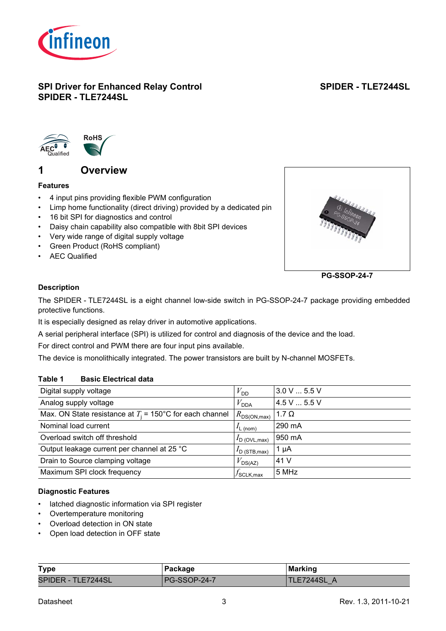

## **SPI Driver for Enhanced Relay Control SPIDER - TLE7244SL**

## **SPIDER - TLE7244SL**



## <span id="page-2-0"></span>**1 Overview**

## **Features**

- 4 input pins providing flexible PWM configuration
- Limp home functionality (direct driving) provided by a dedicated pin
- 16 bit SPI for diagnostics and control
- Daisy chain capability also compatible with 8bit SPI devices
- Very wide range of digital supply voltage
- Green Product (RoHS compliant)
- AEC Qualified



**PG-SSOP-24-7**

## **Description**

The SPIDER - TLE7244SL is a eight channel low-side switch in PG-SSOP-24-7 package providing embedded protective functions.

It is especially designed as relay driver in automotive applications.

A serial peripheral interface (SPI) is utilized for control and diagnosis of the device and the load.

For direct control and PWM there are four input pins available.

The device is monolithically integrated. The power transistors are built by N-channel MOSFETs.

#### **Table 1 Basic Electrical data**

| Digital supply voltage                                             | $V_{\text{DD}}$           | $3.0 V$ 5.5 V |
|--------------------------------------------------------------------|---------------------------|---------------|
| Analog supply voltage                                              | $V_{\mathsf{DDA}}$        | 4.5 V  5.5 V  |
| Max. ON State resistance at $T_i = 150^{\circ}$ C for each channel | $R_{\rm DS(ON,max)}$      | 1.7 $\Omega$  |
| Nominal load current                                               | $L_{\text{L}}$ (nom)      | 290 mA        |
| Overload switch off threshold                                      | $I_{\text{D}}$ (OVL, max) | 950 mA        |
| Output leakage current per channel at 25 °C                        | $I_{\text{D}}$ (STB, max) | 1 $\mu$ A     |
| Drain to Source clamping voltage                                   | DS(AZ)                    | 41 V          |
| Maximum SPI clock frequency                                        | $J$ SCLK,max              | 5 MHz         |
|                                                                    |                           |               |

## **Diagnostic Features**

- latched diagnostic information via SPI register
- Overtemperature monitoring
- Overload detection in ON state
- Open load detection in OFF state

| <b>Type</b>        | Package             | <b>Marking</b> |
|--------------------|---------------------|----------------|
| SPIDER - TLE7244SL | <b>PG-SSOP-24-7</b> | TLE7244SL      |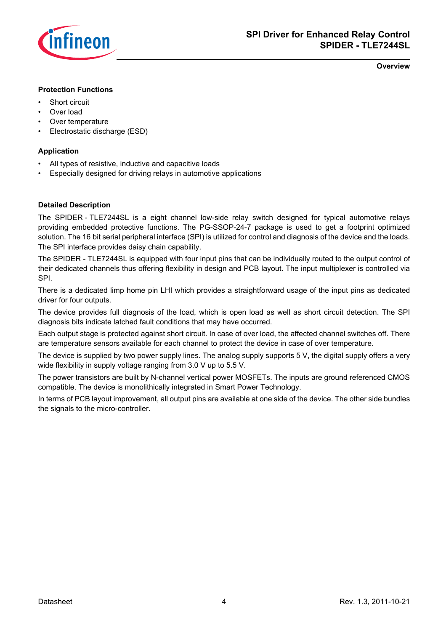

**Overview**

#### **Protection Functions**

- Short circuit
- Over load
- Over temperature
- Electrostatic discharge (ESD)

#### **Application**

- All types of resistive, inductive and capacitive loads
- Especially designed for driving relays in automotive applications

#### **Detailed Description**

The SPIDER - TLE7244SL is a eight channel low-side relay switch designed for typical automotive relays providing embedded protective functions. The PG-SSOP-24-7 package is used to get a footprint optimized solution. The 16 bit serial peripheral interface (SPI) is utilized for control and diagnosis of the device and the loads. The SPI interface provides daisy chain capability.

The SPIDER - TLE7244SL is equipped with four input pins that can be individually routed to the output control of their dedicated channels thus offering flexibility in design and PCB layout. The input multiplexer is controlled via SPI.

There is a dedicated limp home pin LHI which provides a straightforward usage of the input pins as dedicated driver for four outputs.

The device provides full diagnosis of the load, which is open load as well as short circuit detection. The SPI diagnosis bits indicate latched fault conditions that may have occurred.

Each output stage is protected against short circuit. In case of over load, the affected channel switches off. There are temperature sensors available for each channel to protect the device in case of over temperature.

The device is supplied by two power supply lines. The analog supply supports 5 V, the digital supply offers a very wide flexibility in supply voltage ranging from 3.0 V up to 5.5 V.

The power transistors are built by N-channel vertical power MOSFETs. The inputs are ground referenced CMOS compatible. The device is monolithically integrated in Smart Power Technology.

In terms of PCB layout improvement, all output pins are available at one side of the device. The other side bundles the signals to the micro-controller.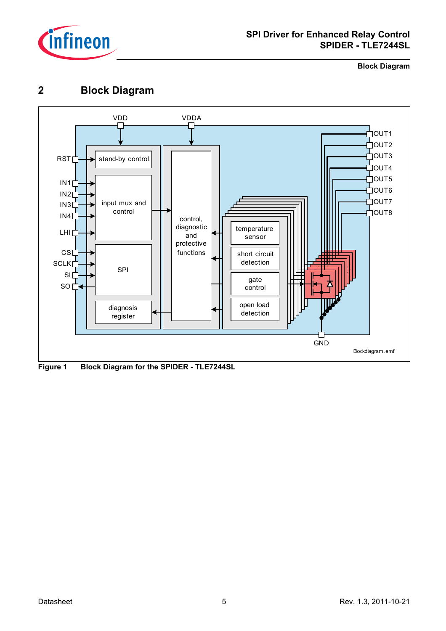

**Block Diagram**

## <span id="page-4-0"></span>**2 Block Diagram**



**Figure 1 Block Diagram for the SPIDER - TLE7244SL**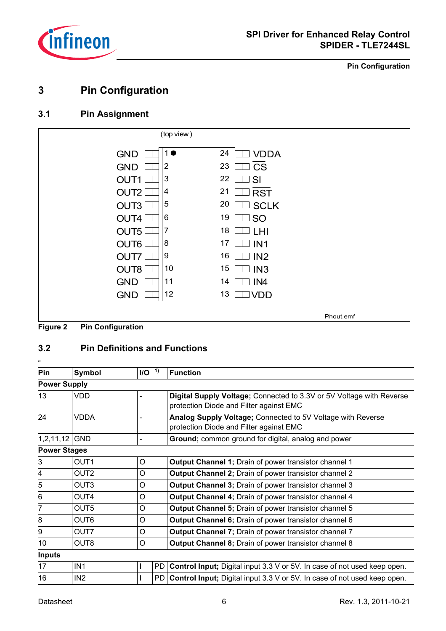

**Pin Configuration**

## <span id="page-5-0"></span>**3 Pin Configuration**

## <span id="page-5-1"></span>**3.1 Pin Assignment**



## <span id="page-5-2"></span>**3.2 Pin Definitions and Functions**

| Pin                 | Symbol           | I/O <sup>1</sup> | <b>Function</b>                                                                                                 |
|---------------------|------------------|------------------|-----------------------------------------------------------------------------------------------------------------|
| <b>Power Supply</b> |                  |                  |                                                                                                                 |
| 13                  | VDD              |                  | Digital Supply Voltage; Connected to 3.3V or 5V Voltage with Reverse<br>protection Diode and Filter against EMC |
| 24                  | VDDA             |                  | Analog Supply Voltage; Connected to 5V Voltage with Reverse<br>protection Diode and Filter against EMC          |
| 1,2,11,12           | <b>GND</b>       |                  | Ground; common ground for digital, analog and power                                                             |
| <b>Power Stages</b> |                  |                  |                                                                                                                 |
| 3                   | OUT <sub>1</sub> | O                | Output Channel 1; Drain of power transistor channel 1                                                           |
| 4                   | OUT2             | O                | Output Channel 2; Drain of power transistor channel 2                                                           |
| 5                   | OUT3             | O                | <b>Output Channel 3; Drain of power transistor channel 3</b>                                                    |
| 6                   | OUT4             | $\circ$          | <b>Output Channel 4; Drain of power transistor channel 4</b>                                                    |
| 7                   | OUT <sub>5</sub> | $\circ$          | <b>Output Channel 5; Drain of power transistor channel 5</b>                                                    |
| 8                   | OUT6             | O                | Output Channel 6; Drain of power transistor channel 6                                                           |
| 9                   | OUT7             | O                | Output Channel 7; Drain of power transistor channel 7                                                           |
| 10                  | OUT <sub>8</sub> | O                | <b>Output Channel 8; Drain of power transistor channel 8</b>                                                    |
| <b>Inputs</b>       |                  |                  |                                                                                                                 |
| 17                  | IN <sub>1</sub>  | L                | <b>PD</b><br><b>Control Input;</b> Digital input 3.3 V or 5V. In case of not used keep open.                    |
| 16                  | IN <sub>2</sub>  |                  | PD.<br><b>Control Input;</b> Digital input 3.3 V or 5V. In case of not used keep open.                          |

<sub>20</sub>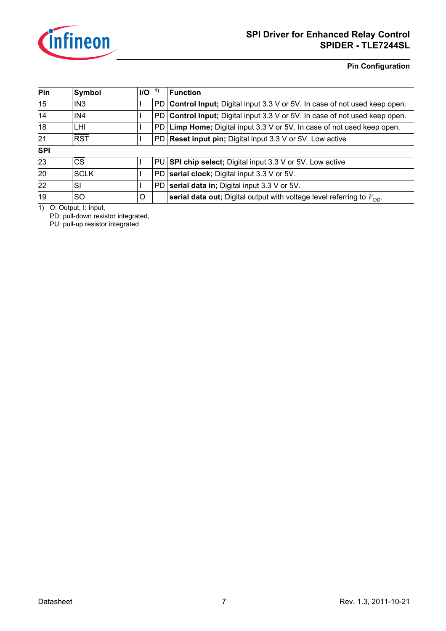

**Pin Configuration**

| Pin        | Symbol          | $UO$    | -1) | <b>Function</b>                                                                   |
|------------|-----------------|---------|-----|-----------------------------------------------------------------------------------|
| 15         | IN <sub>3</sub> |         | PD. | <b>Control Input;</b> Digital input 3.3 V or 5V. In case of not used keep open.   |
| 14         | IN <sub>4</sub> |         | PD. | <b>Control Input;</b> Digital input 3.3 V or 5V. In case of not used keep open.   |
| 18         | LHI.            |         | PD  | <b>Limp Home;</b> Digital input 3.3 V or 5V. In case of not used keep open.       |
| 21         | <b>RST</b>      |         | PD. | <b>Reset input pin;</b> Digital input 3.3 V or 5V. Low active                     |
| <b>SPI</b> |                 |         |     |                                                                                   |
| 23         | <b>CS</b>       |         |     | PU SPI chip select; Digital input 3.3 V or 5V. Low active                         |
| 20         | <b>SCLK</b>     |         | PD  | serial clock; Digital input 3.3 V or 5V.                                          |
| 22         | <b>SI</b>       |         | PD  | serial data in; Digital input 3.3 V or 5V.                                        |
| 19         | SO.             | $\circ$ |     | serial data out; Digital output with voltage level referring to $V_{\text{DD}}$ . |

1) O: Output, I: Input,

PD: pull-down resistor integrated,

PU: pull-up resistor integrated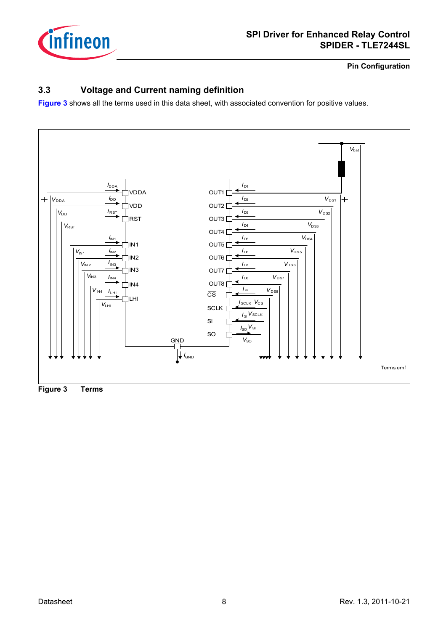

**Pin Configuration**

## <span id="page-7-0"></span>**3.3 Voltage and Current naming definition**

**[Figure 3](#page-7-1)** shows all the terms used in this data sheet, with associated convention for positive values.



<span id="page-7-1"></span>**Figure 3 Terms**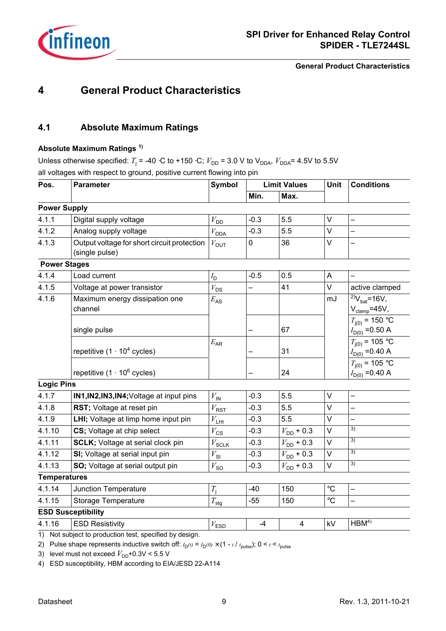

**General Product Characteristics**

## <span id="page-8-0"></span>**4 General Product Characteristics**

## <span id="page-8-1"></span>**4.1 Absolute Maximum Ratings**

#### **Absolute Maximum Ratings 1)**

Unless otherwise specified:  $T_j$  = -40 ⋅C to +150 ⋅C;  $V_{DD}$  = 3.0 V to V<sub>DDA</sub>,  $V_{DDA}$ = 4.5V to 5.5V all voltages with respect to ground, positive current flowing into pin

| Pos.                | <b>Parameter</b>                                              | <b>Symbol</b>       |             | <b>Limit Values</b>     | <b>Unit</b>       | <b>Conditions</b>                                              |
|---------------------|---------------------------------------------------------------|---------------------|-------------|-------------------------|-------------------|----------------------------------------------------------------|
|                     |                                                               |                     | Min.        | Max.                    |                   |                                                                |
| <b>Power Supply</b> |                                                               |                     |             |                         |                   |                                                                |
| 4.1.1               | Digital supply voltage                                        | $V_{\text{DD}}$     | $-0.3$      | 5.5                     | $\vee$            |                                                                |
| 4.1.2               | Analog supply voltage                                         | $V_{\text{DDA}}$    | $-0.3$      | 5.5                     | $\vee$            |                                                                |
| 4.1.3               | Output voltage for short circuit protection<br>(single pulse) | $V_{\text{OUT}}$    | $\mathsf 0$ | 36                      | $\vee$            |                                                                |
|                     | <b>Power Stages</b>                                           |                     |             |                         |                   |                                                                |
| 4.1.4               | Load current                                                  | $I_{\mathsf{D}}$    | $-0.5$      | 0.5                     | A                 |                                                                |
| 4.1.5               | Voltage at power transistor                                   | $V_{DS}$            |             | 41                      | $\vee$            | active clamped                                                 |
| 4.1.6               | Maximum energy dissipation one<br>channel                     | $E_{\text{AS}}$     |             |                         | mJ                | $^{2)}V_{\text{bat}} = 16V,$<br>$V_{\text{clamp}} = 45V,$      |
|                     | single pulse                                                  |                     |             | 67                      |                   | $T_{j(0)} = 150 °C$<br>$I_{D(0)} = 0.50 A$                     |
|                     | repetitive $(1 \cdot 10^4 \text{ cycles})$                    | $E_{\sf AR}$        |             | 31                      |                   | $T_{j(0)} = 105 \overline{{}^{\circ}C}$<br>$I_{D(0)} = 0.40 A$ |
|                     | repetitive $(1 \cdot 10^6 \text{ cycles})$                    |                     |             | 24                      |                   | $T_{j(0)} = 105$ °C<br>$I_{D(0)} = 0.40 A$                     |
| <b>Logic Pins</b>   |                                                               |                     |             |                         |                   |                                                                |
| 4.1.7               | IN1, IN2, IN3, IN4; Voltage at input pins                     | $V_{\mathsf{IN}}$   | $-0.3$      | 5.5                     | $\vee$            |                                                                |
| 4.1.8               | RST; Voltage at reset pin                                     | $V_{\rm RST}$       | $-0.3$      | 5.5                     | $\vee$            |                                                                |
| 4.1.9               | LHI; Voltage at limp home input pin                           | $V_{\mathsf{LHI}}$  | $-0.3$      | 5.5                     | $\vee$            |                                                                |
| 4.1.10              | CS; Voltage at chip select                                    | $V_{\text{CS}}$     | $-0.3$      | $V_{\text{DD}}$ + 0.3   | $\vee$            | 3)                                                             |
| 4.1.11              | <b>SCLK</b> ; Voltage at serial clock pin                     | $V_{\texttt{SCLK}}$ | $-0.3$      | $V_{\text{DD}}$ + 0.3   | $\vee$            | 3)                                                             |
| 4.1.12              | SI; Voltage at serial input pin                               | $V_{\text{SI}}$     | $-0.3$      | $V_{\text{DD}}$ + 0.3   | $\vee$            | 3)                                                             |
| 4.1.13              | SO; Voltage at serial output pin                              | $V_{\rm SO}$        | $-0.3$      | $V_{\text{DD}}$ + 0.3   | $\vee$            | 3)                                                             |
| <b>Temperatures</b> |                                                               |                     |             |                         |                   |                                                                |
| 4.1.14              | Junction Temperature                                          | $T_{\rm j}$         | $-40$       | 150                     | $^\circ \text{C}$ |                                                                |
| 4.1.15              | <b>Storage Temperature</b>                                    | $T_{\mathsf{stg}}$  | $-55$       | 150                     | $\rm ^{\circ}C$   |                                                                |
|                     | <b>ESD Susceptibility</b>                                     |                     |             |                         |                   |                                                                |
| 4.1.16              | <b>ESD Resistivity</b>                                        | $V_{\mathsf{ESD}}$  | $-4$        | $\overline{\mathbf{4}}$ | kV                | HBM <sup>4</sup>                                               |
|                     | 1) Not subject to production test, specified by design        |                     |             |                         |                   |                                                                |

i subject to producti

2) Pulse shape represents inductive switch off:  $I_D(t) = I_D(0) \times (1 - t \cdot l \cdot t_{pulse})$ ; 0 <  $t$  <  $t_{pulse}$ 

<span id="page-8-2"></span>3) level must not exceed  $V_{\text{DD}}$ +0.3V < 5.5 V

4) ESD susceptibility, HBM according to EIA/JESD 22-A114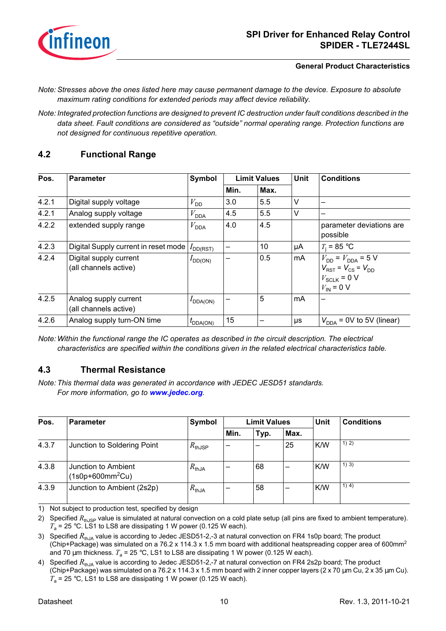

#### **General Product Characteristics**

- *Note: Stresses above the ones listed here may cause permanent damage to the device. Exposure to absolute maximum rating conditions for extended periods may affect device reliability.*
- *Note: Integrated protection functions are designed to prevent IC destruction under fault conditions described in the data sheet. Fault conditions are considered as "outside" normal operating range. Protection functions are not designed for continuous repetitive operation.*

## <span id="page-9-0"></span>**4.2 Functional Range**

| Pos.  | <b>Parameter</b>                                | Symbol               |              | <b>Limit Values</b> | <b>Unit</b> | <b>Conditions</b>                                                                                        |
|-------|-------------------------------------------------|----------------------|--------------|---------------------|-------------|----------------------------------------------------------------------------------------------------------|
|       |                                                 |                      | Min.<br>Max. |                     |             |                                                                                                          |
| 4.2.1 | Digital supply voltage                          | $V_{\text{DD}}$      | 3.0          | 5.5                 | $\vee$      |                                                                                                          |
| 4.2.1 | Analog supply voltage                           | $V_{\text{DDA}}$     | 4.5          | 5.5                 | $\vee$      | –                                                                                                        |
| 4.2.2 | extended supply range                           | $V_{\text{DDA}}$     | 4.0          | 4.5                 |             | parameter deviations are<br>possible                                                                     |
| 4.2.3 | Digital Supply current in reset mode            | $I_{DD(RST)}$        | —            | 10                  | μA          | $T_i = 85$ °C                                                                                            |
| 4.2.4 | Digital supply current<br>(all channels active) | $I_{DD(ON)}$         |              | 0.5                 | mA          | $V_{DD} = V_{DDA} = 5 V$<br>$V_{RST}$ = $V_{CS}$ = $V_{DD}$<br>$V_{SCLK} = 0 V$<br>$V_{\text{IN}}$ = 0 V |
| 4.2.5 | Analog supply current<br>(all channels active)  | $I_{\text{DDA(ON)}}$ |              | 5                   | mA          |                                                                                                          |
| 4.2.6 | Analog supply turn-ON time                      | $t_{\text{DDA(ON)}}$ | 15           |                     | μs          | $V_{\text{DDA}}$ = 0V to 5V (linear)                                                                     |

*Note: Within the functional range the IC operates as described in the circuit description. The electrical characteristics are specified within the conditions given in the related electrical characteristics table.*

## <span id="page-9-1"></span>**4.3 Thermal Resistance**

*Note: This thermal data was generated in accordance with JEDEC JESD51 standards. For more information, go to [www.jedec.org](http://www.jedec.org).*

| Pos.  | <b>Parameter</b>                          | Symbol             |      | <b>Limit Values</b> |      | Unit | <b>Conditions</b> |
|-------|-------------------------------------------|--------------------|------|---------------------|------|------|-------------------|
|       |                                           |                    | Min. | Typ.                | Max. |      |                   |
| 4.3.7 | Junction to Soldering Point               | $R_{\text{thJSP}}$ |      |                     | 25   | K/W  | 1) 2)             |
| 4.3.8 | Junction to Ambient<br>$(1s0p+600mm^2Cu)$ | $R_{thJA}$         |      | 68                  | -    | K/W  | 1) 3)             |
| 4.3.9 | Junction to Ambient (2s2p)                | $R_{\text{thJA}}$  |      | 58                  | -    | K/W  | 1) 4)             |

<span id="page-9-2"></span>1) Not subject to production test, specified by design

2) Specified *R*<sub>thJSP</sub> value is simulated at natural convection on a cold plate setup (all pins are fixed to ambient temperature).  $T_a$  = 25 °C. LS1 to LS8 are dissipating 1 W power (0.125 W each).

3) Specified  $R_{\text{th}}$ <sub>1</sub> value is according to Jedec JESD51-2,-3 at natural convection on FR4 1s0p board; The product (Chip+Package) was simulated on a 76.2 x 114.3 x 1.5 mm board with additional heatspreading copper area of 600mm<sup>2</sup> and 70  $\mu$ m thickness.  $T_a$  = 25 °C, LS1 to LS8 are dissipating 1 W power (0.125 W each).

4) Specified  $R_{\text{th,IA}}$  value is according to Jedec JESD51-2,-7 at natural convection on FR4 2s2p board; The product (Chip+Package) was simulated on a 76.2 x 114.3 x 1.5 mm board with 2 inner copper layers (2 x 70 µm Cu, 2 x 35 µm Cu).  $T_a$  = 25 °C, LS1 to LS8 are dissipating 1 W power (0.125 W each).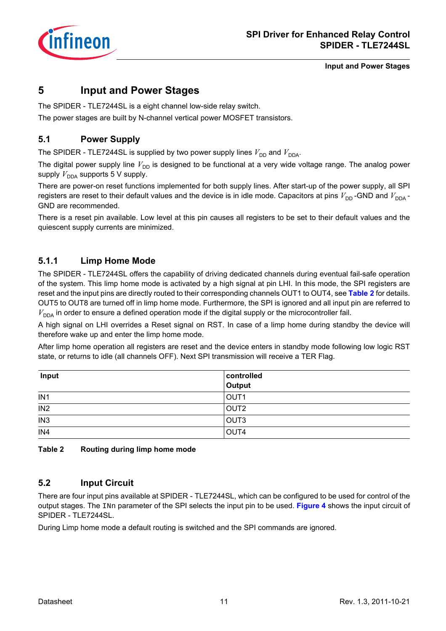

## <span id="page-10-0"></span>**5 Input and Power Stages**

The SPIDER - TLE7244SL is a eight channel low-side relay switch.

The power stages are built by N-channel vertical power MOSFET transistors.

## <span id="page-10-1"></span>**5.1 Power Supply**

The SPIDER - TLE7244SL is supplied by two power supply lines  $V_{DD}$  and  $V_{DDA}$ .

The digital power supply line  $V_{\text{DD}}$  is designed to be functional at a very wide voltage range. The analog power supply  $V_{\text{DDA}}$  supports 5 V supply.

There are power-on reset functions implemented for both supply lines. After start-up of the power supply, all SPI registers are reset to their default values and the device is in idle mode. Capacitors at pins  $V_{DD}$ -GND and  $V_{DDA}$ -GND are recommended.

There is a reset pin available. Low level at this pin causes all registers to be set to their default values and the quiescent supply currents are minimized.

## <span id="page-10-2"></span>**5.1.1 Limp Home Mode**

The SPIDER - TLE7244SL offers the capability of driving dedicated channels during eventual fail-safe operation of the system. This limp home mode is activated by a high signal at pin LHI. In this mode, the SPI registers are reset and the input pins are directly routed to their corresponding channels OUT1 to OUT4, see **[Table 2](#page-10-4)** for details. OUT5 to OUT8 are turned off in limp home mode. Furthermore, the SPI is ignored and all input pin are referred to  $V_{\text{DDA}}$  in order to ensure a defined operation mode if the digital supply or the microcontroller fail.

A high signal on LHI overrides a Reset signal on RST. In case of a limp home during standby the device will therefore wake up and enter the limp home mode.

After limp home operation all registers are reset and the device enters in standby mode following low logic RST state, or returns to idle (all channels OFF). Next SPI transmission will receive a TER Flag.

| Input           | controlled       |
|-----------------|------------------|
|                 | Output           |
| IN <sub>1</sub> | OUT <sub>1</sub> |
| IN <sub>2</sub> | OUT <sub>2</sub> |
| IN <sub>3</sub> | OUT <sub>3</sub> |
| IN4             | OUT4             |

<span id="page-10-4"></span>**Table 2 Routing during limp home mode**

## <span id="page-10-3"></span>**5.2 Input Circuit**

There are four input pins available at SPIDER - TLE7244SL, which can be configured to be used for control of the output stages. The INn parameter of the SPI selects the input pin to be used. **[Figure 4](#page-11-1)** shows the input circuit of SPIDER - TLE7244SL.

During Limp home mode a default routing is switched and the SPI commands are ignored.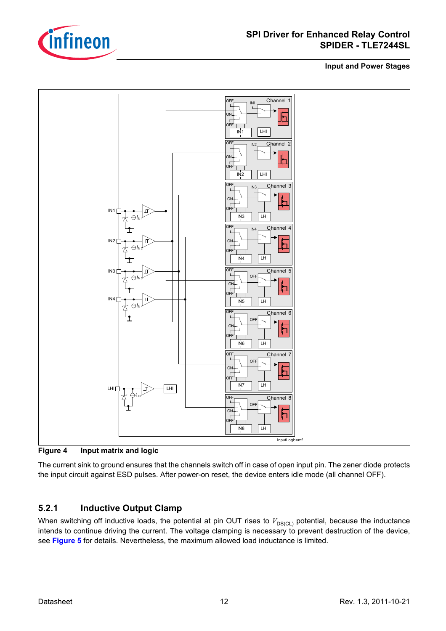



<span id="page-11-1"></span>**Figure 4 Input matrix and logic**

The current sink to ground ensures that the channels switch off in case of open input pin. The zener diode protects the input circuit against ESD pulses. After power-on reset, the device enters idle mode (all channel OFF).

## <span id="page-11-0"></span>**5.2.1 Inductive Output Clamp**

When switching off inductive loads, the potential at pin OUT rises to  $V_{DS(CL)}$  potential, because the inductance intends to continue driving the current. The voltage clamping is necessary to prevent destruction of the device, see **[Figure 5](#page-12-1)** for details. Nevertheless, the maximum allowed load inductance is limited.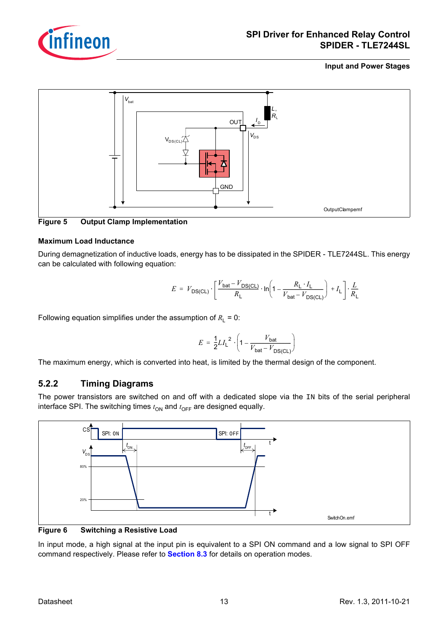



<span id="page-12-1"></span>

## **Maximum Load Inductance**

During demagnetization of inductive loads, energy has to be dissipated in the SPIDER - TLE7244SL. This energy can be calculated with following equation:

$$
E = V_{DS(CL)} \cdot \left[ \frac{V_{bat} - V_{DS(CL)}}{R_L} \cdot \ln\left(1 - \frac{R_L \cdot I_L}{V_{bat} - V_{DS(CL)}}\right) + I_L \right] \cdot \frac{L}{R_L}
$$

Following equation simplifies under the assumption of  $R_1 = 0$ :

$$
E = \frac{1}{2} L I_{L}^{2} \cdot \left(1 - \frac{V_{\text{bat}}}{V_{\text{bat}} - V_{\text{DS}(\text{CL})}}\right)
$$

The maximum energy, which is converted into heat, is limited by the thermal design of the component.

## <span id="page-12-0"></span>**5.2.2 Timing Diagrams**

The power transistors are switched on and off with a dedicated slope via the IN bits of the serial peripheral interface SPI. The switching times  $t_{ON}$  and  $t_{OFF}$  are designed equally.



**Figure 6 Switching a Resistive Load**

In input mode, a high signal at the input pin is equivalent to a SPI ON command and a low signal to SPI OFF command respectively. Please refer to **[Section 8.3](#page-20-1)** for details on operation modes.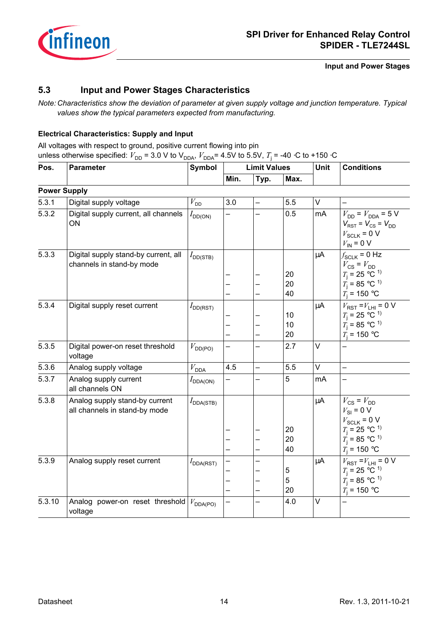

## <span id="page-13-0"></span>**5.3 Input and Power Stages Characteristics**

*Note: Characteristics show the deviation of parameter at given supply voltage and junction temperature. Typical values show the typical parameters expected from manufacturing.*

## **Electrical Characteristics: Supply and Input**

All voltages with respect to ground, positive current flowing into pin unless otherwise specified:  $V_{\text{DD}}$  = 3.0 V to V<sub>DDA</sub>,  $V_{\text{DDA}}$ = 4.5V to 5.5V,  $T_{\text{j}}$  = -40 ⋅C to +150 ⋅C

| Pos.                | <b>Parameter</b>                                                  | Symbol                | <b>Limit Values</b>      |                          |                        | Unit | <b>Conditions</b>                                                                                                                                               |
|---------------------|-------------------------------------------------------------------|-----------------------|--------------------------|--------------------------|------------------------|------|-----------------------------------------------------------------------------------------------------------------------------------------------------------------|
|                     |                                                                   |                       | Min.                     | Typ.                     | Max.                   |      |                                                                                                                                                                 |
| <b>Power Supply</b> |                                                                   |                       |                          |                          |                        |      |                                                                                                                                                                 |
| 5.3.1               | Digital supply voltage                                            | $V_{\rm DD}$          | 3.0                      |                          | 5.5                    | V    |                                                                                                                                                                 |
| 5.3.2               | Digital supply current, all channels<br>ON                        | $I_{DD(ON)}$          | -                        |                          | 0.5                    | mA   | $V_{DD} = V_{DDA} = 5 V$<br>$V_{RST}$ = $V_{CS}$ = $V_{DD}$<br>$V_{SCLK}$ = 0 V<br>$V_{\text{IN}}$ = 0 V                                                        |
| 5.3.3               | Digital supply stand-by current, all<br>channels in stand-by mode | $I_{\text{DD(STB)}}$  | —                        | —                        | 20<br>20<br>40         | μA   | $f_{SCLK}$ = 0 Hz<br>$V_{\text{CS}} = V_{\text{DD}}$<br>$T_{\rm i}$ = 25 °C <sup>1)</sup><br>$\vec{T}_1 = 85$ °C <sup>1</sup><br>$T_i = 150 °C$                 |
| 5.3.4               | Digital supply reset current                                      | $I_{DD(RST)}$         | —                        | —                        | 10<br>10<br>20         | μA   | $V_{RST} = V_{LHI} = 0 V$<br>$T_{\rm i}$ = 25 °C <sup>-1)</sup><br>$T_1 = 85$ °C <sup>1)</sup><br>$T_i = 150 °C$                                                |
| 5.3.5               | Digital power-on reset threshold<br>voltage                       | $V_{\text{DD(PO)}}$   | -                        | $\overline{\phantom{0}}$ | 2.7                    | V    |                                                                                                                                                                 |
| 5.3.6               | Analog supply voltage                                             | $V_{\mathsf{DDA}}$    | 4.5                      | $\overline{\phantom{0}}$ | 5.5                    | V    |                                                                                                                                                                 |
| 5.3.7               | Analog supply current<br>all channels ON                          | $I_{\text{DDA(ON)}}$  | <sup>-</sup>             | —                        | 5                      | mA   |                                                                                                                                                                 |
| 5.3.8               | Analog supply stand-by current<br>all channels in stand-by mode   | $I_{\text{DDA(STB)}}$ | —                        |                          | 20<br>20<br>40         | μA   | $V_{\text{CS}} = V_{\text{DD}}$<br>$V_{\text{SI}} = 0 \text{ V}$<br>$V_{SCLK}$ = 0 V<br>$T_1 = 25 °C^{1}$<br>$T_1 = 85$ °C <sup>1</sup><br>$T_{\rm i}$ = 150 °C |
| 5.3.9               | Analog supply reset current                                       | $I_{\text{DDA(RST)}}$ | —                        |                          | $\,$ 5 $\,$<br>5<br>20 | μA   | $V_{RST} = V_{LHI} = 0 V$<br>$T_1 = 25 °C^{1}$<br>$\dot{T_1}$ = 85 °C <sup>1</sup><br>$T_i = 150 °C$                                                            |
| 5.3.10              | Analog power-on reset threshold<br>voltage                        | $V_{\text{DDA(PO)}}$  | $\overline{\phantom{0}}$ | $\overline{\phantom{0}}$ | 4.0                    | V    |                                                                                                                                                                 |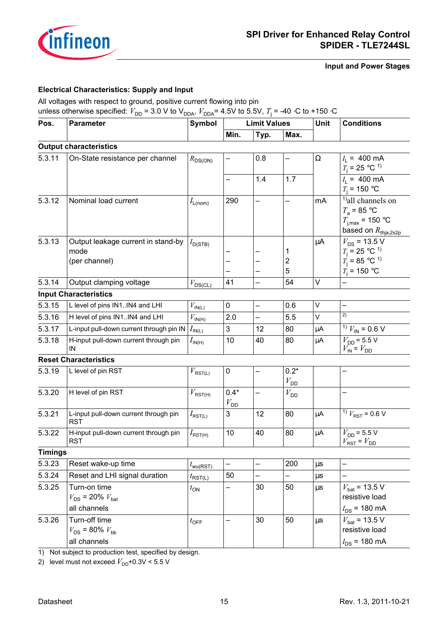

## **Electrical Characteristics: Supply and Input**

All voltages with respect to ground, positive current flowing into pin

unless otherwise specified:  $V_{\text{DD}}$  = 3.0 V to V<sub>DDA</sub>,  $V_{\text{DDA}}$ = 4.5V to 5.5V,  $T_{\text{j}}$  = -40 ⋅C to +150 ⋅C

| Pos.           | <b>Parameter</b>                                    | <b>Symbol</b>                           | <b>Limit Values</b> |          |                           | Unit     | <b>Conditions</b>                                                                                                        |
|----------------|-----------------------------------------------------|-----------------------------------------|---------------------|----------|---------------------------|----------|--------------------------------------------------------------------------------------------------------------------------|
|                |                                                     |                                         | Min.                | Typ.     | Max.                      |          |                                                                                                                          |
|                | <b>Output characteristics</b>                       |                                         |                     |          |                           |          |                                                                                                                          |
| 5.3.11         | On-State resistance per channel                     | $R_{DS(ON)}$                            |                     | 0.8      | <u>.</u>                  | $\Omega$ | $I_1 = 400 \text{ mA}$<br>$T_{\rm j}$ = 25 °C <sup>1)</sup>                                                              |
|                |                                                     |                                         | —                   | 1.4      | 1.7                       |          | $I_1 = 400 \text{ mA}$<br>$T_i = 150 °C$                                                                                 |
| 5.3.12         | Nominal load current                                | $I_{\text{L(nom)}}$                     | 290                 |          |                           | mA       | <sup>1</sup> ) all channels on<br>$T_a$ = 85 °C<br>$T_{j,\text{max}}$ = 150 °C<br>based on $R_{\text{thja},2\text{s2p}}$ |
| 5.3.13         | Output leakage current in stand-by                  | $I_{\text{D(STB)}}$                     |                     |          |                           | $\mu$ A  | $V_{DS}$ = 13.5 V                                                                                                        |
|                | mode                                                |                                         |                     |          | 1                         |          | $T_{\rm j}$ = 25 °C <sup>-1)</sup>                                                                                       |
|                | (per channel)                                       |                                         |                     |          | $\overline{c}$<br>5       |          | $\vec{T}_1 = 85$ °C <sup>1</sup>                                                                                         |
|                |                                                     |                                         |                     |          |                           | $\vee$   | $T_{\rm i}$ = 150 °C                                                                                                     |
| 5.3.14         | Output clamping voltage                             | $V_{DS(CL)}$                            | 41                  |          | 54                        |          |                                                                                                                          |
|                | <b>Input Characteristics</b>                        |                                         |                     |          |                           |          | $\overline{\phantom{0}}$                                                                                                 |
| 5.3.15         | L level of pins IN1IN4 and LHI                      | $V_{\text{IN}(\underline{\mathsf{L}})}$ | 0                   | $\equiv$ | 0.6                       | V        | 2)                                                                                                                       |
| 5.3.16         | H level of pins IN1IN4 and LHI                      | $V_{\mathsf{IN}(\mathsf{H})}$           | 2.0                 |          | 5.5                       | V        |                                                                                                                          |
| 5.3.17         | L-input pull-down current through pin IN            | $I_{\mathsf{IN}(L)}$                    | 3                   | 12       | 80                        | μA       | <sup>1)</sup> $V_{\text{IN}}$ = 0.6 V                                                                                    |
| 5.3.18         | H-input pull-down current through pin<br>IN         | $I_{\mathsf{IN}(\mathsf{H})}$           | 10                  | 40       | 80                        | μA       | $V_{\text{DD}}$ = 5.5 V<br>$V_{\text{IN}} = V_{\text{DD}}$                                                               |
|                | <b>Reset Characteristics</b>                        |                                         |                     |          |                           |          |                                                                                                                          |
| 5.3.19         | L level of pin RST                                  | $V_{\mathsf{RST}(\mathsf{L})}$          | 0                   |          | $0.2*$<br>$V_{\text{DD}}$ |          |                                                                                                                          |
| 5.3.20         | H level of pin RST                                  | $V_{RST(H)}$                            | $0.4*$<br>$V_{DD}$  |          | $V_{\text{DD}}$           |          |                                                                                                                          |
| 5.3.21         | L-input pull-down current through pin<br><b>RST</b> | $I_{\mathsf{RST}(\mathsf{L})}$          | 3                   | 12       | 80                        | μA       | <sup>1)</sup> $V_{RST}$ = 0.6 V                                                                                          |
| 5.3.22         | H-input pull-down current through pin<br><b>RST</b> | $I_{\mathsf{RST}(\mathsf{H})}$          | 10                  | 40       | 80                        | μA       | $V_{\text{DD}}$ = 5.5 V<br>$V_{RST}$ = $V_{DD}$                                                                          |
| <b>Timings</b> |                                                     |                                         |                     |          |                           |          |                                                                                                                          |
| 5.3.23         | Reset wake-up time                                  | $t_{\text{wu(RST)}}$                    | $\qquad \qquad -$   | —        | 200                       | $\mu s$  | —                                                                                                                        |
| 5.3.24         | Reset and LHI signal duration                       | $t_{\mathsf{RST}(L)}$                   | 50                  |          | —                         | $\mu$ s  |                                                                                                                          |
| 5.3.25         | Turn-on time                                        | $t_{\text{ON}}$                         |                     | 30       | 50                        | $\mu s$  | $V_{\text{bat}}$ = 13.5 V                                                                                                |
|                | $V_{DS}$ = 20% $V_{bat}$                            |                                         |                     |          |                           |          | resistive load                                                                                                           |
|                | all channels                                        |                                         |                     |          |                           |          | $I_{DS}$ = 180 mA                                                                                                        |
| 5.3.26         | Turn-off time                                       | $t_{\text{OFF}}$                        |                     | 30       | 50                        | $\mu s$  | $V_{\text{bat}}$ = 13.5 V                                                                                                |
|                | $V_{DS}$ = 80% $V_{bb}$                             |                                         |                     |          |                           |          | resistive load                                                                                                           |
|                | all channels                                        |                                         |                     |          |                           |          | $I_{DS}$ = 180 mA                                                                                                        |

<span id="page-14-0"></span>1) Not subject to production test, specified by design.

2) level must not exceed  $V_{\text{DD}}$ +0.3V < 5.5 V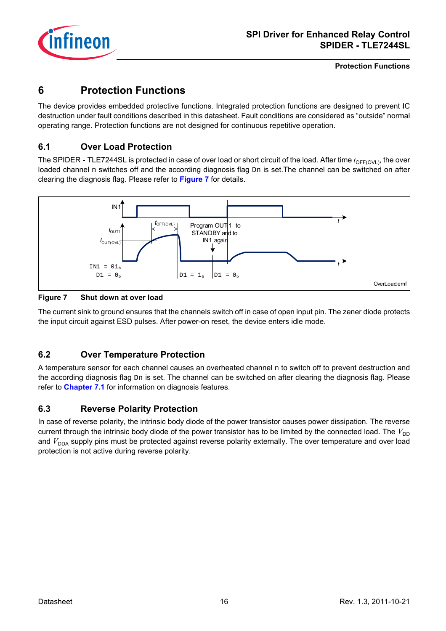

**Protection Functions**

## <span id="page-15-0"></span>**6 Protection Functions**

The device provides embedded protective functions. Integrated protection functions are designed to prevent IC destruction under fault conditions described in this datasheet. Fault conditions are considered as "outside" normal operating range. Protection functions are not designed for continuous repetitive operation.

## <span id="page-15-1"></span>**6.1 Over Load Protection**

The SPIDER - TLE7244SL is protected in case of over load or short circuit of the load. After time  $t_{OFF(OVL)}$ , the over loaded channel n switches off and the according diagnosis flag  $Dn$  is set. The channel can be switched on after clearing the diagnosis flag. Please refer to **[Figure 7](#page-15-4)** for details.



<span id="page-15-4"></span>**Figure 7 Shut down at over load**

The current sink to ground ensures that the channels switch off in case of open input pin. The zener diode protects the input circuit against ESD pulses. After power-on reset, the device enters idle mode.

## <span id="page-15-2"></span>**6.2 Over Temperature Protection**

A temperature sensor for each channel causes an overheated channel n to switch off to prevent destruction and the according diagnosis flag Dn is set. The channel can be switched on after clearing the diagnosis flag. Please refer to **[Chapter 7.1](#page-17-2)** for information on diagnosis features.

## <span id="page-15-3"></span>**6.3 Reverse Polarity Protection**

In case of reverse polarity, the intrinsic body diode of the power transistor causes power dissipation. The reverse current through the intrinsic body diode of the power transistor has to be limited by the connected load. The  $V_{DD}$ and  $V_{\text{DDA}}$  supply pins must be protected against reverse polarity externally. The over temperature and over load protection is not active during reverse polarity.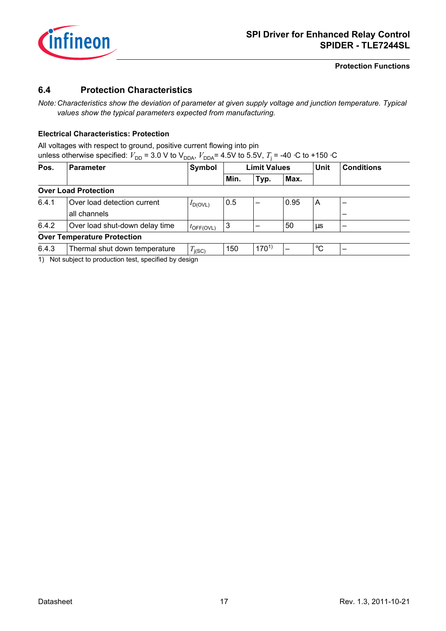

#### <span id="page-16-4"></span><span id="page-16-3"></span><span id="page-16-2"></span><span id="page-16-1"></span>**Protection Functions**

## <span id="page-16-0"></span>**6.4 Protection Characteristics**

*Note: Characteristics show the deviation of parameter at given supply voltage and junction temperature. Typical values show the typical parameters expected from manufacturing.*

## **Electrical Characteristics: Protection**

All voltages with respect to ground, positive current flowing into pin

| Pos.  | <b>Parameter</b>                   | Symbol                |      | <b>Limit Values</b> |      | <b>Unit</b>     | <b>Conditions</b> |
|-------|------------------------------------|-----------------------|------|---------------------|------|-----------------|-------------------|
|       |                                    |                       | Min. | Typ.                | Max. |                 |                   |
|       | <b>Over Load Protection</b>        |                       |      |                     |      |                 |                   |
| 6.4.1 | Over load detection current        | $I_{D(OVL)}$          | 0.5  |                     | 0.95 | Α               |                   |
|       | all channels                       |                       |      |                     |      |                 |                   |
| 6.4.2 | Over load shut-down delay time     | $t_{\text{OFF(OVL)}}$ | 3    |                     | 50   | μs              | -                 |
|       | <b>Over Temperature Protection</b> |                       |      |                     |      |                 |                   |
| 6.4.3 | Thermal shut down temperature      | $T_{\text{i(SC)}}$    | 150  | $170^{1}$           | —    | $\rm ^{\circ}C$ | -                 |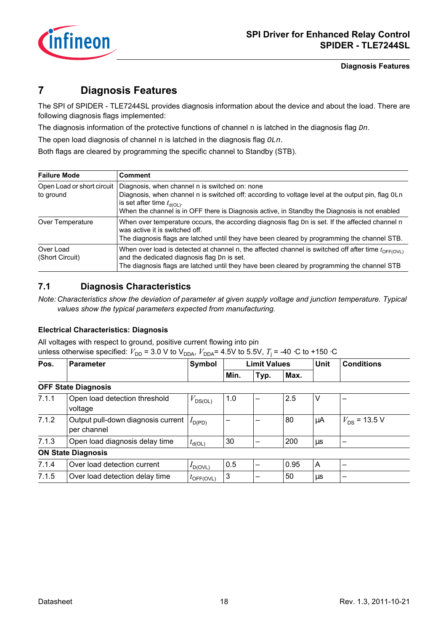

**Diagnosis Features**

## <span id="page-17-0"></span>**7 Diagnosis Features**

The SPI of SPIDER - TLE7244SL provides diagnosis information about the device and about the load. There are following diagnosis flags implemented:

The diagnosis information of the protective functions of channel  $n$  is latched in the diagnosis flag  $Dn$ .

The open load diagnosis of channel  $n$  is latched in the diagnosis flag  $OLn$ .

Both flags are cleared by programming the specific channel to Standby (STB).

| <b>Failure Mode</b>                     | <b>Comment</b>                                                                                                                                                                                                                                                                          |
|-----------------------------------------|-----------------------------------------------------------------------------------------------------------------------------------------------------------------------------------------------------------------------------------------------------------------------------------------|
| Open Load or short circuit<br>to ground | Diagnosis, when channel n is switched on: none<br>Diagnosis, when channel n is switched off: according to voltage level at the output pin, flag OLn<br>is set after time $t_{d(OL)}$ .<br>When the channel is in OFF there is Diagnosis active, in Standby the Diagnosis is not enabled |
| Over Temperature                        | When over temperature occurs, the according diagnosis flag $Dn$ is set. If the affected channel n<br>was active it is switched off.<br>The diagnosis flags are latched until they have been cleared by programming the channel STB.                                                     |
| Over Load<br>(Short Circuit)            | When over load is detected at channel n, the affected channel is switched off after time $t_{\text{OFF(OVL)}}$<br>and the dedicated diagnosis flag Dn is set.<br>The diagnosis flags are latched until they have been cleared by programming the channel STB                            |

## <span id="page-17-2"></span><span id="page-17-1"></span>**7.1 Diagnosis Characteristics**

*Note: Characteristics show the deviation of parameter at given supply voltage and junction temperature. Typical values show the typical parameters expected from manufacturing.*

## **Electrical Characteristics: Diagnosis**

All voltages with respect to ground, positive current flowing into pin

unless otherwise specified:  $V_{\text{DD}}$  = 3.0 V to V<sub>DDA</sub>,  $V_{\text{DDA}}$ = 4.5V to 5.5V,  $T_{\text{j}}$  = -40 ⋅C to +150 ⋅C

| Pos.  | <b>Parameter</b>                                  | Symbol                |      | <b>Limit Values</b> |      | <b>Unit</b> | <b>Conditions</b> |  |
|-------|---------------------------------------------------|-----------------------|------|---------------------|------|-------------|-------------------|--|
|       |                                                   |                       | Min. | Typ.                | Max. |             |                   |  |
|       | <b>OFF State Diagnosis</b>                        |                       |      |                     |      |             |                   |  |
| 7.1.1 | Open load detection threshold<br>voltage          | $V_{DS(OL)}$          | 1.0  |                     | 2.5  | ٧           |                   |  |
| 7.1.2 | Output pull-down diagnosis current<br>per channel | $I_{D(PD)}$           |      |                     | 80   | μA          | $V_{DS}$ = 13.5 V |  |
| 7.1.3 | Open load diagnosis delay time                    | $t_{\sf d(OL)}$       | 30   |                     | 200  | μs          |                   |  |
|       | <b>ON State Diagnosis</b>                         |                       |      |                     |      |             |                   |  |
| 7.1.4 | Over load detection current                       | $I_{\text{D(OVL)}}$   | 0.5  |                     | 0.95 | Α           |                   |  |
| 7.1.5 | Over load detection delay time                    | $t_{\text{OFF(OVL)}}$ | 3    |                     | 50   | μs          |                   |  |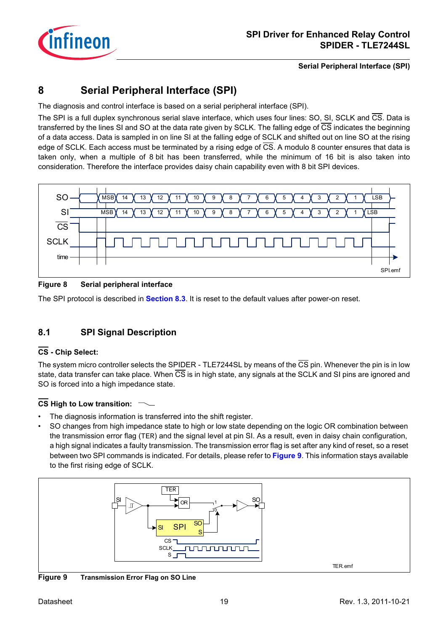

## <span id="page-18-0"></span>**8 Serial Peripheral Interface (SPI)**

The diagnosis and control interface is based on a serial peripheral interface (SPI).

The SPI is a full duplex synchronous serial slave interface, which uses four lines: SO, SI, SCLK and CS. Data is transferred by the lines SI and SO at the data rate given by SCLK. The falling edge of CS indicates the beginning of a data access. Data is sampled in on line SI at the falling edge of SCLK and shifted out on line SO at the rising edge of SCLK. Each access must be terminated by a rising edge of CS. A modulo 8 counter ensures that data is taken only, when a multiple of 8 bit has been transferred, while the minimum of 16 bit is also taken into consideration. Therefore the interface provides daisy chain capability even with 8 bit SPI devices.



## **Figure 8 Serial peripheral interface**

The SPI protocol is described in **[Section 8.3](#page-20-0)**. It is reset to the default values after power-on reset.

## <span id="page-18-1"></span>**8.1 SPI Signal Description**

## **CS - Chip Select:**

The system micro controller selects the SPIDER - TLE7244SL by means of the  $\overline{CS}$  pin. Whenever the pin is in low state, data transfer can take place. When  $\overline{CS}$  is in high state, any signals at the SCLK and SI pins are ignored and SO is forced into a high impedance state.

## **CS High to Low transition:**

- The diagnosis information is transferred into the shift register.
- SO changes from high impedance state to high or low state depending on the logic OR combination between the transmission error flag (TER) and the signal level at pin SI. As a result, even in daisy chain configuration, a high signal indicates a faulty transmission. The transmission error flag is set after any kind of reset, so a reset between two SPI commands is indicated. For details, please refer to **[Figure 9](#page-18-2)**. This information stays available to the first rising edge of SCLK.



<span id="page-18-2"></span>**Figure 9 Transmission Error Flag on SO Line**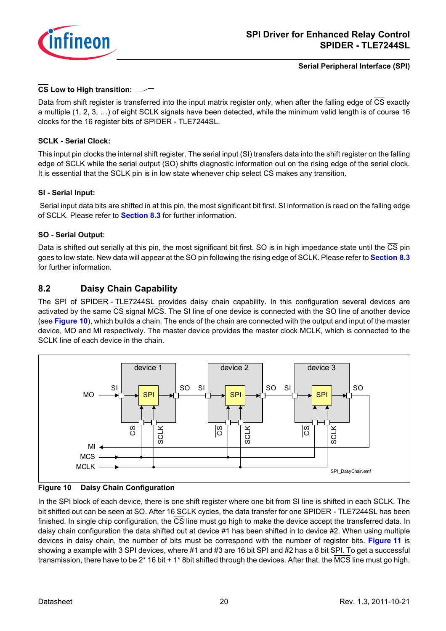

## **CS Low to High transition:**

Data from shift register is transferred into the input matrix register only, when after the falling edge of CS exactly a multiple (1, 2, 3, …) of eight SCLK signals have been detected, while the minimum valid length is of course 16 clocks for the 16 register bits of SPIDER - TLE7244SL.

## **SCLK - Serial Clock:**

This input pin clocks the internal shift register. The serial input (SI) transfers data into the shift register on the falling edge of SCLK while the serial output (SO) shifts diagnostic information out on the rising edge of the serial clock. It is essential that the SCLK pin is in low state whenever chip select  $\overline{\text{CS}}$  makes any transition.

## **SI - Serial Input:**

 Serial input data bits are shifted in at this pin, the most significant bit first. SI information is read on the falling edge of SCLK. Please refer to **[Section 8.3](#page-20-0)** for further information.

## **SO - Serial Output:**

Data is shifted out serially at this pin, the most significant bit first. SO is in high impedance state until the CS pin goes to low state. New data will appear at the SO pin following the rising edge of SCLK. Please refer to **[Section 8.3](#page-20-0)** for further information.

## <span id="page-19-0"></span>**8.2 Daisy Chain Capability**

The SPI of SPIDER - TLE7244SL provides daisy chain capability. In this configuration several devices are activated by the same CS signal MCS. The SI line of one device is connected with the SO line of another device (see **[Figure 10](#page-19-1)**), which builds a chain. The ends of the chain are connected with the output and input of the master device, MO and MI respectively. The master device provides the master clock MCLK, which is connected to the SCLK line of each device in the chain.



<span id="page-19-1"></span>

In the SPI block of each device, there is one shift register where one bit from SI line is shifted in each SCLK. The bit shifted out can be seen at SO. After 16 SCLK cycles, the data transfer for one SPIDER - TLE7244SL has been finished. In single chip configuration, the  $\overline{CS}$  line must go high to make the device accept the transferred data. In daisy chain configuration the data shifted out at device #1 has been shifted in to device #2. When using multiple devices in daisy chain, the number of bits must be correspond with the number of register bits. **[Figure 11](#page-20-2)** is showing a example with 3 SPI devices, where #1 and #3 are 16 bit SPI and #2 has a 8 bit SPI. To get a successful transmission, there have to be 2\* 16 bit + 1\* 8bit shifted through the devices. After that, the MCS line must go high.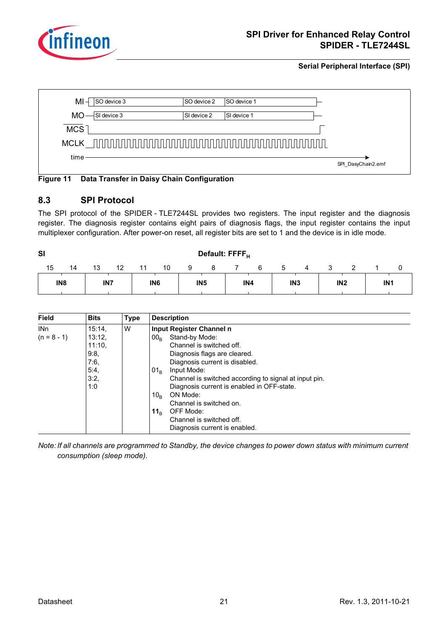



## <span id="page-20-2"></span>**Figure 11 Data Transfer in Daisy Chain Configuration**

## <span id="page-20-1"></span><span id="page-20-0"></span>**8.3 SPI Protocol**

The SPI protocol of the SPIDER - TLE7244SL provides two registers. The input register and the diagnosis register. The diagnosis register contains eight pairs of diagnosis flags, the input register contains the input multiplexer configuration. After power-on reset, all register bits are set to 1 and the device is in idle mode.

| <b>SI</b>       |    |                 |    |    |                 |                 |   | Default: FFFF <sub>H</sub> |   |             |                 |                 |                 |  |
|-----------------|----|-----------------|----|----|-----------------|-----------------|---|----------------------------|---|-------------|-----------------|-----------------|-----------------|--|
| 15              | 14 | 13              | 12 | 11 | 10              | 9               | 8 |                            | 6 | $\mathbf b$ | 4               |                 |                 |  |
| IN <sub>8</sub> |    | IN <sub>7</sub> |    |    | IN <sub>6</sub> | IN <sub>5</sub> |   | IN4                        |   |             | IN <sub>3</sub> | IN <sub>2</sub> | IN <sub>1</sub> |  |

| <b>Field</b>    | <b>Bits</b> | <b>Type</b> | <b>Description</b>                                    |
|-----------------|-------------|-------------|-------------------------------------------------------|
| IN <sub>n</sub> | 15:14       | W           | Input Register Channel n                              |
| $(n = 8 - 1)$   | 13:12       |             | Stand-by Mode:<br>00 <sub>B</sub>                     |
|                 | 11:10.      |             | Channel is switched off.                              |
|                 | 9:8,        |             | Diagnosis flags are cleared.                          |
|                 | 7:6,        |             | Diagnosis current is disabled.                        |
|                 | 5:4,        |             | Input Mode:<br>01 <sub>B</sub>                        |
|                 | 3:2,        |             | Channel is switched according to signal at input pin. |
|                 | 1:0         |             | Diagnosis current is enabled in OFF-state.            |
|                 |             |             | ON Mode:<br>10 <sub>B</sub>                           |
|                 |             |             | Channel is switched on.                               |
|                 |             |             | OFF Mode:<br>11 $_{\scriptscriptstyle\rm B}$          |
|                 |             |             | Channel is switched off.                              |
|                 |             |             | Diagnosis current is enabled.                         |

*Note: If all channels are programmed to Standby, the device changes to power down status with minimum current consumption (sleep mode).*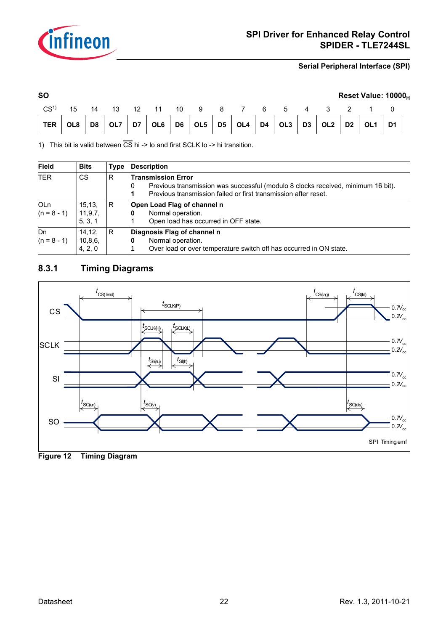

| <b>SO</b> |  |  |  |  |  |  |  | Reset Value: 10000 <sub>H</sub>                             |
|-----------|--|--|--|--|--|--|--|-------------------------------------------------------------|
|           |  |  |  |  |  |  |  | CS <sup>1)</sup> 15 14 13 12 11 10 9 8 7 6 5 4 3 2 1 0      |
|           |  |  |  |  |  |  |  | TER 0L8 D8 0L7 D7 0L6 D6 0L5 D5 0L4 D4 0L3 D3 0L2 D2 0L1 D1 |
|           |  |  |  |  |  |  |  |                                                             |

1) This bit is valid between  $\overline{CS}$  hi -> lo and first SCLK lo -> hi transition.

| Field                            | <b>Bits</b>                    | Type | <b>Description</b>                                                                                                                                                                    |
|----------------------------------|--------------------------------|------|---------------------------------------------------------------------------------------------------------------------------------------------------------------------------------------|
| <b>TER</b>                       | <b>CS</b>                      | R    | <b>Transmission Error</b><br>Previous transmission was successful (modulo 8 clocks received, minimum 16 bit).<br>0<br>Previous transmission failed or first transmission after reset. |
| OL <sub>n</sub><br>$(n = 8 - 1)$ | 15, 13,<br>11,9,7,<br>5, 3, 1  | R    | Open Load Flag of channel n<br>Normal operation.<br>Open load has occurred in OFF state.                                                                                              |
| Dn<br>$(n = 8 - 1)$              | 14.12.<br>10, 8, 6,<br>4, 2, 0 | R    | Diagnosis Flag of channel n<br>Normal operation.<br>U<br>Over load or over temperature switch off has occurred in ON state.                                                           |

## <span id="page-21-0"></span>**8.3.1 Timing Diagrams**



**Figure 12 Timing Diagram**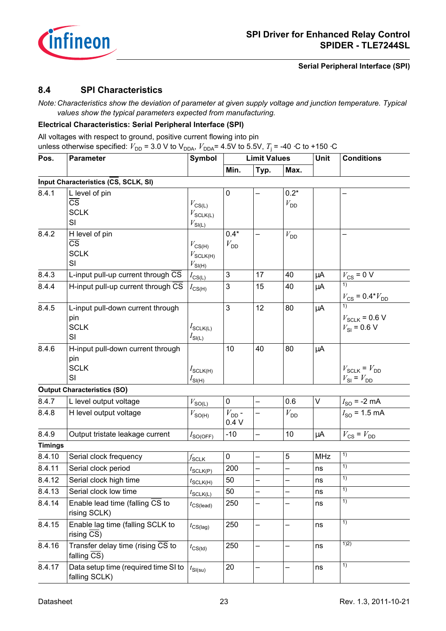

## <span id="page-22-0"></span>**8.4 SPI Characteristics**

*Note: Characteristics show the deviation of parameter at given supply voltage and junction temperature. Typical values show the typical parameters expected from manufacturing.*

#### **Electrical Characteristics: Serial Peripheral Interface (SPI)**

All voltages with respect to ground, positive current flowing into pin unless otherwise specified:  $V_{\text{DD}}$  = 3.0 V to V<sub>DDA</sub>,  $V_{\text{DDA}}$ = 4.5V to 5.5V,  $T_{\text{j}}$  = -40 ⋅C to +150 ⋅C

| Pos.           | <b>Parameter</b>                                                            | <b>Symbol</b>                                                     |                             | <b>Limit Values</b>      |                           | Unit        | <b>Conditions</b>                                                    |  |  |
|----------------|-----------------------------------------------------------------------------|-------------------------------------------------------------------|-----------------------------|--------------------------|---------------------------|-------------|----------------------------------------------------------------------|--|--|
|                |                                                                             |                                                                   | Min.                        | Typ.                     | Max.                      |             |                                                                      |  |  |
|                | Input Characteristics (CS, SCLK, SI)                                        |                                                                   |                             |                          |                           |             |                                                                      |  |  |
| 8.4.1          | L level of pin<br>$\overline{\text{cs}}$<br><b>SCLK</b><br>SI               | $V_{\text{CS(L)}}$<br>$V_{\text{SCLK(L)}}$<br>$V_{\text{SI(L)}}$  | 0                           |                          | $0.2*$<br>$V_{\text{DD}}$ |             |                                                                      |  |  |
| 8.4.2          | H level of pin<br>$\overline{\text{cs}}$<br><b>SCLK</b><br>SI               | $V_{\text{CS(H)}}$<br>$V_{\text{SCLK(H)}}$<br>$V_{SI(H)}$         | $0.4*$<br>$V_{\mathsf{DD}}$ |                          | $V_{\text{DD}}$           |             |                                                                      |  |  |
| 8.4.3          | L-input pull-up current through CS                                          | $I_{CS(L)}$                                                       | 3                           | 17                       | 40                        | $\mu$ A     | $V_{CS}$ = 0 V                                                       |  |  |
| 8.4.4          | H-input pull-up current through CS                                          | $I_{\text{CS(H)}}$                                                | 3                           | 15                       | 40                        | μA          | $V_{\text{CS}}=0.4\text{*}V_{\text{DD}}$                             |  |  |
| 8.4.5          | L-input pull-down current through<br>pin<br><b>SCLK</b><br>SI               | $I_{\mathsf{SCLK(L)}}$<br>$I_{\text{SI(L)}}$                      | 3                           | 12                       | 80                        | μA          | $V_{\text{SCLR}}$ = 0.6 V<br>$V_{\text{SI}}$ = 0.6 V                 |  |  |
| 8.4.6          | H-input pull-down current through<br>pin<br><b>SCLK</b><br>SI               | $I_{\text{SCLK(H)}}$<br>$I_{\mathsf{SI}(\underline{\mathsf{H}})}$ | 10                          | 40                       | 80                        | $\mu$ A     | $V_{\text{SCLK}} = V_{\text{DD}}$<br>$V_{\text{SI}} = V_{\text{DD}}$ |  |  |
|                | <b>Output Characteristics (SO)</b>                                          |                                                                   |                             |                          |                           |             |                                                                      |  |  |
| 8.4.7          | L level output voltage                                                      | $V_{\text{SOL}}$                                                  | 0                           |                          | 0.6                       | $\mathsf V$ | $I_{SO}$ = -2 mA                                                     |  |  |
| 8.4.8          | H level output voltage                                                      | $V_{\text{SO(H)}}$                                                | $V_{DD}$ -<br>0.4V          |                          | $V_{\mathsf{DD}}$         |             | $I_{SO}$ = 1.5 mA                                                    |  |  |
| 8.4.9          | Output tristate leakage current                                             | $I_{\text{SO(OFF)}}$                                              | $-10$                       | $\overline{\phantom{0}}$ | 10                        | μA          | $V_{\text{CS}} = V_{\text{DD}}$                                      |  |  |
| <b>Timings</b> |                                                                             |                                                                   |                             |                          |                           |             |                                                                      |  |  |
| 8.4.10         | Serial clock frequency                                                      | $f_{\mathsf{SCLK}}$                                               | 0                           | —                        | 5                         | <b>MHz</b>  | 1)                                                                   |  |  |
| 8.4.11         | Serial clock period                                                         | $t_{\text{SCLK}(P)}$                                              | 200                         | -                        | -                         | ns          | 1)                                                                   |  |  |
| 8.4.12         | Serial clock high time                                                      | $t_{\text{SCLK(H)}}$                                              | 50                          | —                        | —                         | ns          | 1)                                                                   |  |  |
| 8.4.13         | Serial clock low time                                                       | $t_{\mathsf{SCLK(L)}}$                                            | 50                          |                          |                           | ns          | 1)                                                                   |  |  |
| 8.4.14         | Enable lead time (falling $\overline{CS}$ to<br>rising SCLK)                | $t_{\text{CS(lead)}}$                                             | 250                         |                          |                           | ns          | 1)                                                                   |  |  |
| 8.4.15         | Enable lag time (falling SCLK to<br>rising CS)                              | $t_{\text{CS(lag)}}$                                              | 250                         | —                        | —                         | ns          | 1)                                                                   |  |  |
| 8.4.16         | Transfer delay time (rising $\overline{CS}$ to<br>falling $\overline{CS}$ ) | $t_{\text{CS(td)}}$                                               | 250                         |                          |                           | ns          | 1)2)                                                                 |  |  |
| 8.4.17         | Data setup time (required time SI to<br>falling SCLK)                       | $t_{\mathsf{SI(su)}}$                                             | 20                          |                          |                           | ns          | $\overline{1}$                                                       |  |  |
|                |                                                                             |                                                                   |                             |                          |                           |             |                                                                      |  |  |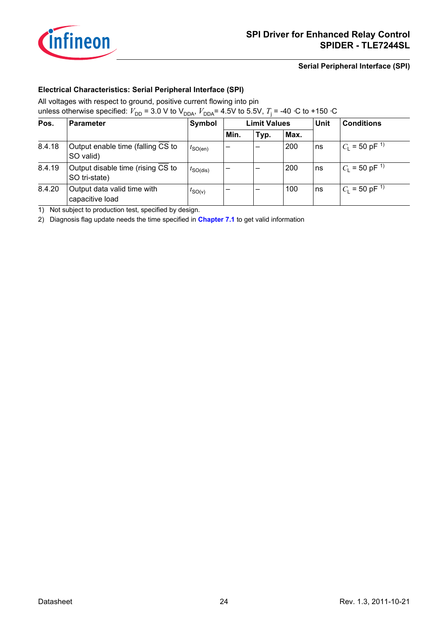

## **Electrical Characteristics: Serial Peripheral Interface (SPI)**

All voltages with respect to ground, positive current flowing into pin

unless otherwise specified:  $V_{\text{DD}}$  = 3.0 V to V<sub>DDA</sub>,  $V_{\text{DDA}}$ = 4.5V to 5.5V,  $T_{\text{j}}$  = -40 ⋅C to +150 ⋅C

| Pos.   | <b>Parameter</b>                                   | Symbol               |      | <b>Limit Values</b> |      | Unit | <b>Conditions</b>              |  |
|--------|----------------------------------------------------|----------------------|------|---------------------|------|------|--------------------------------|--|
|        |                                                    |                      | Min. | Typ.                | Max. |      |                                |  |
| 8.4.18 | Output enable time (falling CS to<br>SO valid)     | $t_{\text{SO(en)}}$  | -    | -                   | 200  | ns   | $C_{L}$ = 50 pF <sup>-1)</sup> |  |
| 8.4.19 | Output disable time (rising CS to<br>SO tri-state) | $t_{\text{SO(dis)}}$ | -    | -                   | 200  | ns   | $C_1 = 50$ pF <sup>1)</sup>    |  |
| 8.4.20 | Output data valid time with<br>capacitive load     | $t_{\text{SO}(V)}$   | -    | -                   | 100  | ns   | $ C_1 $ = 50 pF <sup>1)</sup>  |  |

<span id="page-23-0"></span>1) Not subject to production test, specified by design.

2) Diagnosis flag update needs the time specified in **[Chapter 7.1](#page-17-2)** to get valid information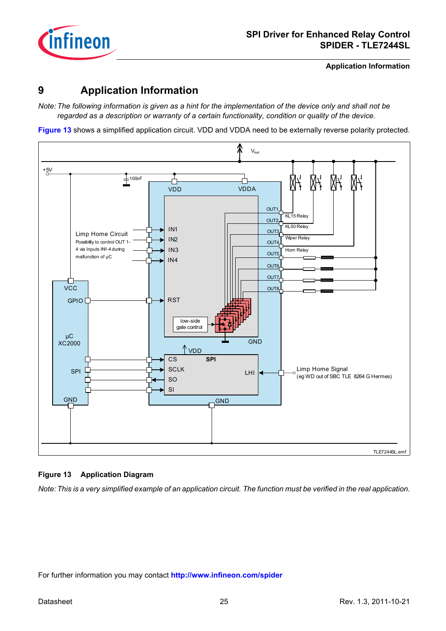

**Application Information**

## <span id="page-24-0"></span>**9 Application Information**

*Note: The following information is given as a hint for the implementation of the device only and shall not be regarded as a description or warranty of a certain functionality, condition or quality of the device.*

**[Figure 13](#page-24-1)** shows a simplified application circuit. VDD and VDDA need to be externally reverse polarity protected.



## <span id="page-24-1"></span>**Figure 13 Application Diagram**

*Note: This is a very simplified example of an application circuit. The function must be verified in the real application.*

For further information you may contact **<http://www.infineon.com/spider>**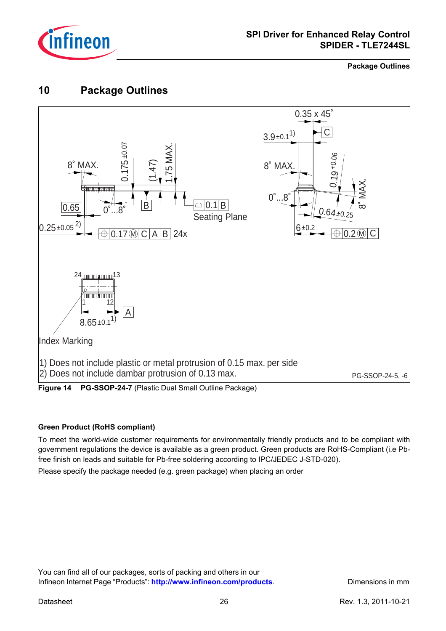

**Package Outlines**

## <span id="page-25-0"></span>**10 Package Outlines**



#### **Green Product (RoHS compliant)**

To meet the world-wide customer requirements for environmentally friendly products and to be compliant with government regulations the device is available as a green product. Green products are RoHS-Compliant (i.e Pbfree finish on leads and suitable for Pb-free soldering according to IPC/JEDEC J-STD-020).

Please specify the package needed (e.g. green package) when placing an order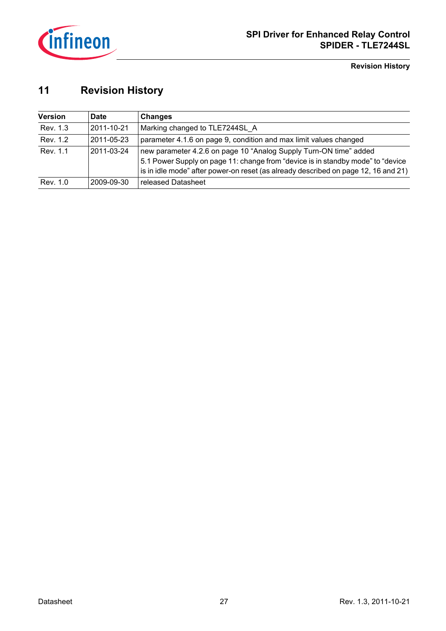

**Revision History**

## <span id="page-26-0"></span>**11 Revision History**

| <b>Version</b> | Date       | <b>Changes</b>                                                                                                                                                                                                                             |
|----------------|------------|--------------------------------------------------------------------------------------------------------------------------------------------------------------------------------------------------------------------------------------------|
| Rev. 1.3       | 2011-10-21 | Marking changed to TLE7244SL A                                                                                                                                                                                                             |
| Rev. 1.2       | 2011-05-23 | parameter 4.1.6 on page 9, condition and max limit values changed                                                                                                                                                                          |
| Rev. 1.1       | 2011-03-24 | new parameter 4.2.6 on page 10 "Analog Supply Turn-ON time" added<br>5.1 Power Supply on page 11: change from "device is in standby mode" to "device<br>is in idle mode" after power-on reset (as already described on page 12, 16 and 21) |
| Rev. 1.0       | 2009-09-30 | released Datasheet                                                                                                                                                                                                                         |